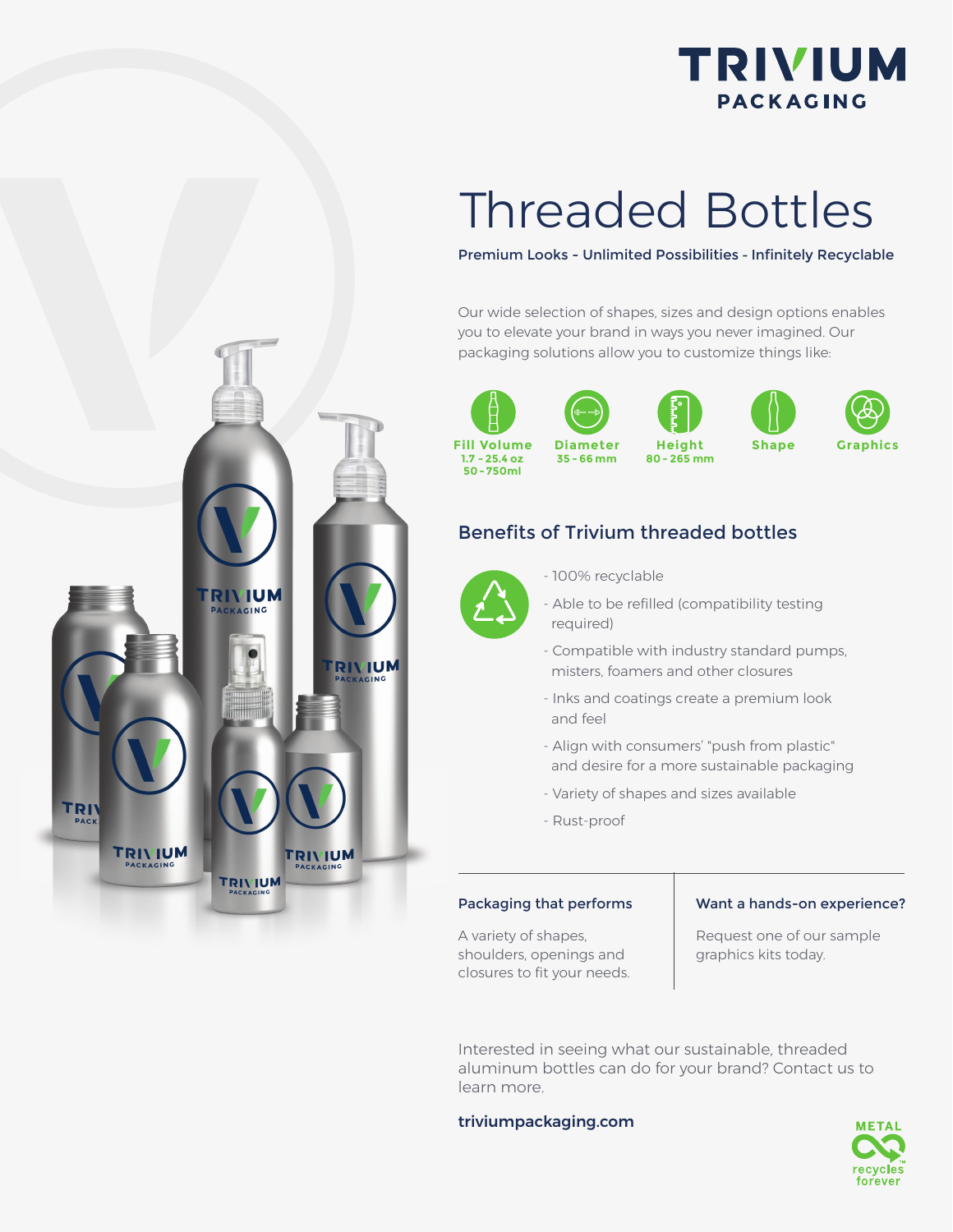

## Threaded Bottles

#### Premium Looks - Unlimited Possibilities - Infinitely Recyclable

Our wide selection of shapes, sizes and design options enables you to elevate your brand in ways you never imagined. Our packaging solutions allow you to customize things like:



**1.7 - 25.4 oz 50 - 750ml**

**Diameter**





### Benefits of Trivium threaded bottles

- 100% recyclable



- Able to be refilled (compatibility testing required)
- Compatible with industry standard pumps, misters, foamers and other closures
- Inks and coatings create a premium look and feel
- Align with consumers' "push from plastic" and desire for a more sustainable packaging
- Variety of shapes and sizes available
- Rust-proof

A variety of shapes, shoulders, openings and closures to fit your needs.

#### Packaging that performs | Want a hands-on experience?

Request one of our sample graphics kits today.

Interested in seeing what our sustainable, threaded aluminum bottles can do for your brand? Contact us to learn more.

#### triviumpackaging.com